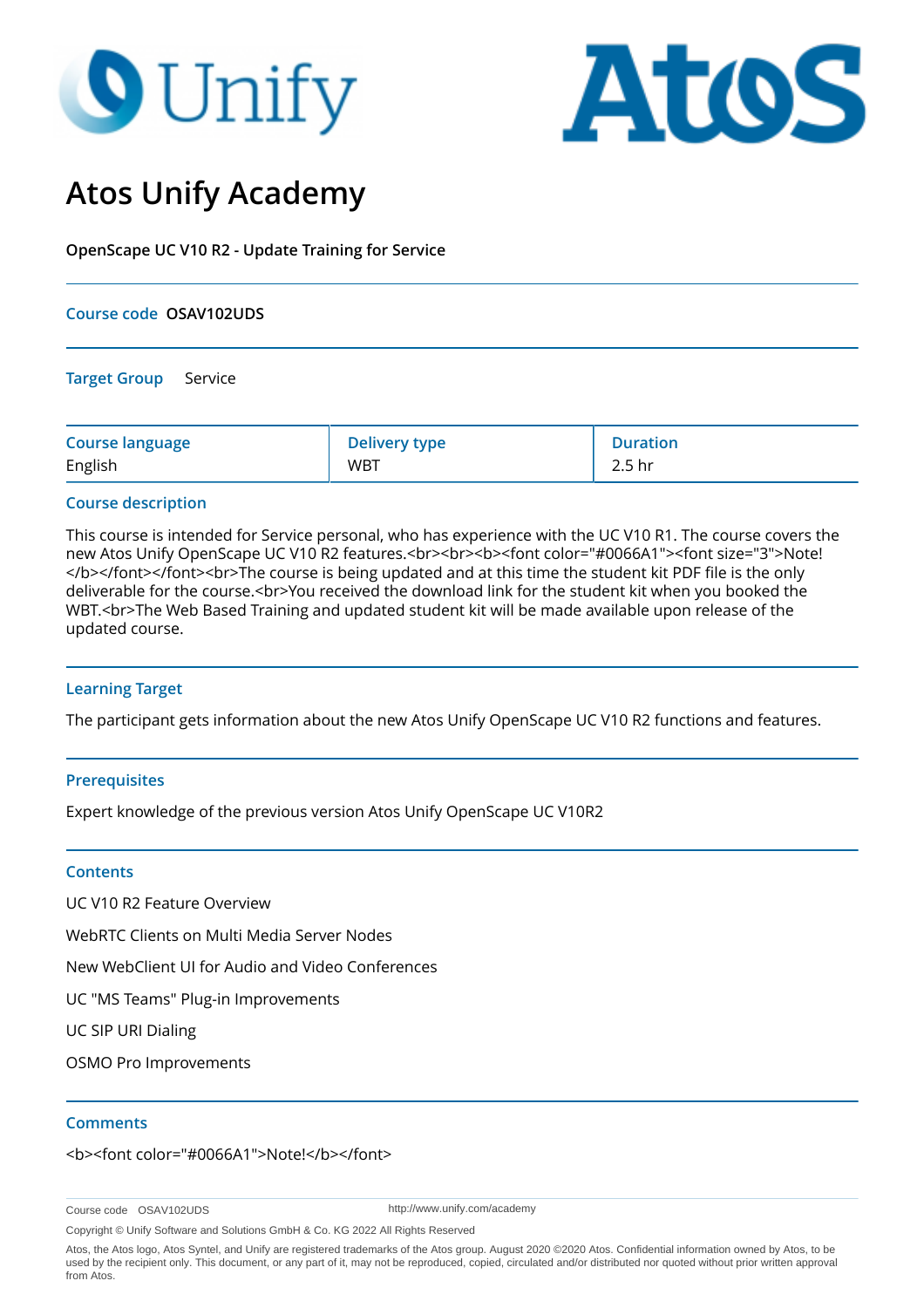# **O** Unify



# **Atos Unify Academy**

**OpenScape UC V10 R2 - Update Training for Service**

# **Course code OSAV102UDS**

**Target Group** Service

| <b>Course language</b> | <b>Delivery type</b> | <b>Duration</b>   |
|------------------------|----------------------|-------------------|
| English                | <b>WBT</b>           | 2.5 <sub>hr</sub> |

# **Course description**

This course is intended for Service personal, who has experience with the UC V10 R1. The course covers the new Atos Unify OpenScape UC V10 R2 features.<br><br><b><font color="#0066A1"><font size="3">Note! </b></font></font><br>The course is being updated and at this time the student kit PDF file is the only deliverable for the course.<br>You received the download link for the student kit when you booked the WBT.<br>The Web Based Training and updated student kit will be made available upon release of the updated course.

# **Learning Target**

The participant gets information about the new Atos Unify OpenScape UC V10 R2 functions and features.

## **Prerequisites**

Expert knowledge of the previous version Atos Unify OpenScape UC V10R2

## **Contents**

UC V10 R2 Feature Overview

WebRTC Clients on Multi Media Server Nodes

New WebClient UI for Audio and Video Conferences

UC "MS Teams" Plug-in Improvements

UC SIP URI Dialing

OSMO Pro Improvements

## **Comments**

<b><font color="#0066A1">Note!</b></font>

Course code OSAV102UDS

http://www.unify.com/academy

Copyright © Unify Software and Solutions GmbH & Co. KG 2022 All Rights Reserved

Atos, the Atos logo, Atos Syntel, and Unify are registered trademarks of the Atos group. August 2020 ©2020 Atos. Confidential information owned by Atos, to be used by the recipient only. This document, or any part of it, may not be reproduced, copied, circulated and/or distributed nor quoted without prior written approval from Atos.